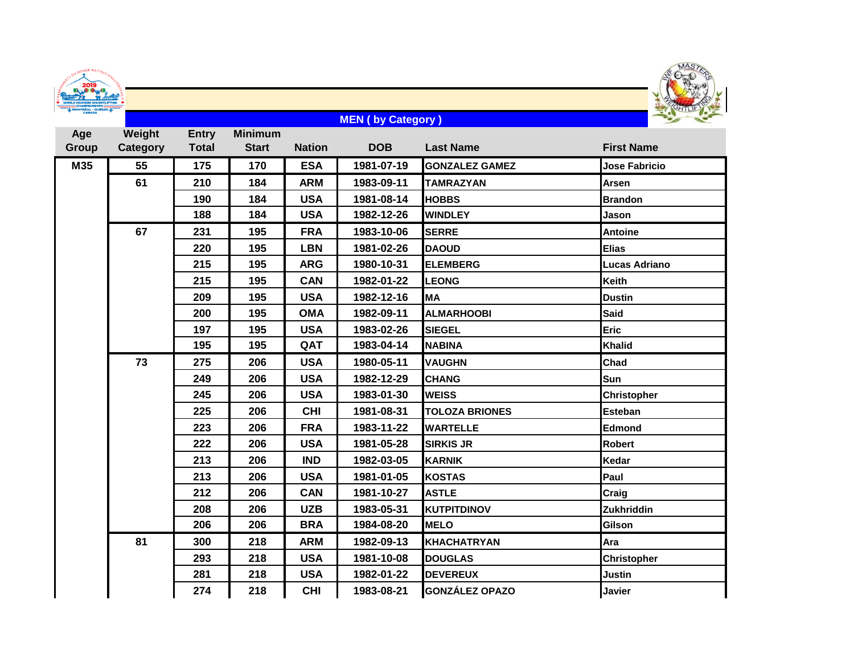| NAT'S DU MONDE MAITRES DINA<br><b>ERS WEIGHTLIFTING</b> |  |
|---------------------------------------------------------|--|
| <b>CHAMPIONSHIPS</b><br>ONTRÉAL - QUÉBEC.<br>CANADA     |  |



## **Age Group Weight Category Entry Total Minimum Start Nation DOB Last Name First Name M35 55 175 170 ESA 1981-07-19 GONZALEZ GAMEZ Jose Fabricio 210 184 ARM 1983-09-11 TAMRAZYAN Arsen 184 USA 1981-08-14 HOBBS Brandon 184 USA 1982-12-26 WINDLEY Jason 231 195 FRA 1983-10-06 SERRE Antoine 195 LBN 1981-02-26 DAOUD Elias 195 ARG 1980-10-31 ELEMBERG Lucas Adriano 195 CAN 1982-01-22 LEONG Keith 195 USA 1982-12-16 MA Dustin 195 OMA 1982-09-11 ALMARHOOBI Said 195 USA 1983-02-26 SIEGEL Eric 195 QAT 1983-04-14 NABINA Khalid 275 206 USA 1980-05-11 VAUGHN Chad 206 USA 1982-12-29 CHANG Sun 206 USA 1983-01-30 WEISS Christopher 206 CHI 1981-08-31 TOLOZA BRIONES Esteban 206 FRA 1983-11-22 WARTELLE Edmond 206 USA 1981-05-28 SIRKIS JR Robert 206 IND 1982-03-05 KARNIK Kedar 206 USA 1981-01-05 KOSTAS Paul 206 CAN 1981-10-27 ASTLE Craig 206 UZB 1983-05-31 KUTPITDINOV Zukhriddin 206 BRA 1984-08-20 MELO Gilson 300 218 ARM 1982-09-13 KHACHATRYAN Ara 218 USA 1981-10-08 DOUGLAS Christopher 218 USA 1982-01-22 DEVEREUX Justin 218 CHI 1983-08-21 GONZÁLEZ OPAZO Javier MEN ( by Category )**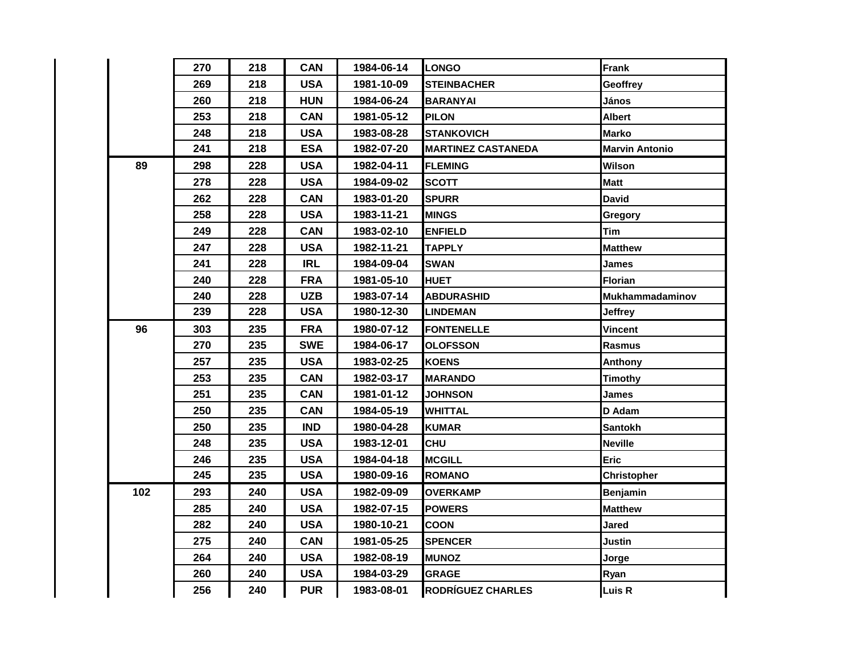|     | 270 | 218 | <b>CAN</b> | 1984-06-14 | <b>LONGO</b>              | <b>Frank</b>           |
|-----|-----|-----|------------|------------|---------------------------|------------------------|
|     | 269 | 218 | <b>USA</b> | 1981-10-09 | <b>STEINBACHER</b>        | Geoffrey               |
|     | 260 | 218 | <b>HUN</b> | 1984-06-24 | <b>BARANYAI</b>           | János                  |
|     | 253 | 218 | <b>CAN</b> | 1981-05-12 | <b>PILON</b>              | <b>Albert</b>          |
|     | 248 | 218 | <b>USA</b> | 1983-08-28 | <b>STANKOVICH</b>         | <b>Marko</b>           |
|     | 241 | 218 | <b>ESA</b> | 1982-07-20 | <b>MARTINEZ CASTANEDA</b> | <b>Marvin Antonio</b>  |
| 89  | 298 | 228 | <b>USA</b> | 1982-04-11 | <b>FLEMING</b>            | Wilson                 |
|     | 278 | 228 | <b>USA</b> | 1984-09-02 | <b>SCOTT</b>              | <b>Matt</b>            |
|     | 262 | 228 | <b>CAN</b> | 1983-01-20 | <b>SPURR</b>              | <b>David</b>           |
|     | 258 | 228 | <b>USA</b> | 1983-11-21 | <b>MINGS</b>              | Gregory                |
|     | 249 | 228 | <b>CAN</b> | 1983-02-10 | <b>ENFIELD</b>            | Tim                    |
|     | 247 | 228 | <b>USA</b> | 1982-11-21 | <b>TAPPLY</b>             | <b>Matthew</b>         |
|     | 241 | 228 | <b>IRL</b> | 1984-09-04 | <b>SWAN</b>               | James                  |
|     | 240 | 228 | <b>FRA</b> | 1981-05-10 | <b>HUET</b>               | Florian                |
|     | 240 | 228 | <b>UZB</b> | 1983-07-14 | <b>ABDURASHID</b>         | <b>Mukhammadaminov</b> |
|     | 239 | 228 | <b>USA</b> | 1980-12-30 | <b>LINDEMAN</b>           | <b>Jeffrey</b>         |
| 96  | 303 | 235 | <b>FRA</b> | 1980-07-12 | <b>FONTENELLE</b>         | Vincent                |
|     | 270 | 235 | <b>SWE</b> | 1984-06-17 | <b>OLOFSSON</b>           | Rasmus                 |
|     | 257 | 235 | <b>USA</b> | 1983-02-25 | <b>KOENS</b>              | Anthony                |
|     | 253 | 235 | <b>CAN</b> | 1982-03-17 | <b>MARANDO</b>            | <b>Timothy</b>         |
|     | 251 | 235 | <b>CAN</b> | 1981-01-12 | <b>JOHNSON</b>            | <b>James</b>           |
|     | 250 | 235 | <b>CAN</b> | 1984-05-19 | WHITTAL                   | D Adam                 |
|     | 250 | 235 | <b>IND</b> | 1980-04-28 | <b>KUMAR</b>              | <b>Santokh</b>         |
|     | 248 | 235 | <b>USA</b> | 1983-12-01 | <b>CHU</b>                | <b>Neville</b>         |
|     | 246 | 235 | <b>USA</b> | 1984-04-18 | <b>MCGILL</b>             | <b>Eric</b>            |
|     | 245 | 235 | <b>USA</b> | 1980-09-16 | <b>ROMANO</b>             | <b>Christopher</b>     |
| 102 | 293 | 240 | <b>USA</b> | 1982-09-09 | <b>OVERKAMP</b>           | Benjamin               |
|     | 285 | 240 | <b>USA</b> | 1982-07-15 | <b>POWERS</b>             | <b>Matthew</b>         |
|     | 282 | 240 | <b>USA</b> | 1980-10-21 | <b>COON</b>               | <b>Jared</b>           |
|     | 275 | 240 | <b>CAN</b> | 1981-05-25 | <b>SPENCER</b>            | Justin                 |
|     | 264 | 240 | <b>USA</b> | 1982-08-19 | <b>MUNOZ</b>              | Jorge                  |
|     | 260 | 240 | <b>USA</b> | 1984-03-29 | <b>GRAGE</b>              | Ryan                   |
|     | 256 | 240 | <b>PUR</b> | 1983-08-01 | <b>RODRÍGUEZ CHARLES</b>  | Luis R                 |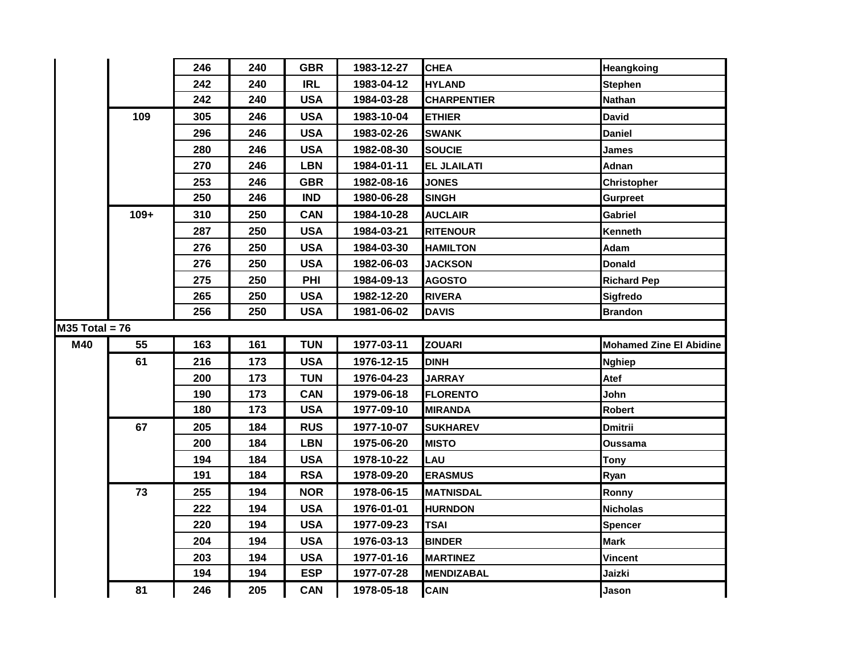|                  |        | 246 | 240 | <b>GBR</b> | 1983-12-27 | <b>CHEA</b>        | Heangkoing                     |
|------------------|--------|-----|-----|------------|------------|--------------------|--------------------------------|
|                  |        | 242 | 240 | <b>IRL</b> | 1983-04-12 | <b>HYLAND</b>      | <b>Stephen</b>                 |
|                  |        | 242 | 240 | <b>USA</b> | 1984-03-28 | <b>CHARPENTIER</b> | <b>Nathan</b>                  |
|                  | 109    | 305 | 246 | <b>USA</b> | 1983-10-04 | <b>ETHIER</b>      | <b>David</b>                   |
|                  |        | 296 | 246 | <b>USA</b> | 1983-02-26 | <b>SWANK</b>       | <b>Daniel</b>                  |
|                  |        | 280 | 246 | <b>USA</b> | 1982-08-30 | <b>SOUCIE</b>      | James                          |
|                  |        | 270 | 246 | <b>LBN</b> | 1984-01-11 | <b>EL JLAILATI</b> | Adnan                          |
|                  |        | 253 | 246 | <b>GBR</b> | 1982-08-16 | <b>JONES</b>       | Christopher                    |
|                  |        | 250 | 246 | <b>IND</b> | 1980-06-28 | <b>SINGH</b>       | <b>Gurpreet</b>                |
|                  | $109+$ | 310 | 250 | <b>CAN</b> | 1984-10-28 | <b>AUCLAIR</b>     | <b>Gabriel</b>                 |
|                  |        | 287 | 250 | <b>USA</b> | 1984-03-21 | <b>RITENOUR</b>    | Kenneth                        |
|                  |        | 276 | 250 | <b>USA</b> | 1984-03-30 | <b>HAMILTON</b>    | Adam                           |
|                  |        | 276 | 250 | <b>USA</b> | 1982-06-03 | <b>JACKSON</b>     | <b>Donald</b>                  |
|                  |        | 275 | 250 | PHI        | 1984-09-13 | <b>AGOSTO</b>      | <b>Richard Pep</b>             |
|                  |        | 265 | 250 | <b>USA</b> | 1982-12-20 | <b>RIVERA</b>      | Sigfredo                       |
|                  |        | 256 | 250 | <b>USA</b> | 1981-06-02 | <b>DAVIS</b>       | <b>Brandon</b>                 |
| $M35$ Total = 76 |        |     |     |            |            |                    |                                |
| M40              | 55     | 163 | 161 | <b>TUN</b> | 1977-03-11 | <b>ZOUARI</b>      | <b>Mohamed Zine El Abidine</b> |
|                  | 61     | 216 | 173 | <b>USA</b> | 1976-12-15 | DINH               | <b>Nghiep</b>                  |
|                  |        | 200 | 173 | <b>TUN</b> | 1976-04-23 | <b>JARRAY</b>      | Atef                           |
|                  |        | 190 | 173 | <b>CAN</b> | 1979-06-18 | <b>FLORENTO</b>    | John                           |
|                  |        | 180 | 173 | <b>USA</b> | 1977-09-10 | <b>MIRANDA</b>     | Robert                         |
|                  | 67     | 205 | 184 | <b>RUS</b> | 1977-10-07 | <b>SUKHAREV</b>    | <b>Dmitrii</b>                 |
|                  |        | 200 | 184 | <b>LBN</b> | 1975-06-20 | <b>MISTO</b>       | Oussama                        |
|                  |        | 194 | 184 | <b>USA</b> | 1978-10-22 | <b>LAU</b>         | <b>Tony</b>                    |
|                  |        | 191 | 184 | <b>RSA</b> | 1978-09-20 | <b>ERASMUS</b>     | Ryan                           |
|                  | 73     | 255 | 194 | <b>NOR</b> | 1978-06-15 | <b>MATNISDAL</b>   | Ronny                          |
|                  |        | 222 | 194 | <b>USA</b> | 1976-01-01 | <b>HURNDON</b>     | <b>Nicholas</b>                |
|                  |        | 220 | 194 | <b>USA</b> | 1977-09-23 | <b>TSAI</b>        | <b>Spencer</b>                 |
|                  |        | 204 | 194 | <b>USA</b> | 1976-03-13 | <b>BINDER</b>      | <b>Mark</b>                    |
|                  |        | 203 | 194 | <b>USA</b> | 1977-01-16 | <b>MARTINEZ</b>    | <b>Vincent</b>                 |
|                  |        | 194 | 194 | <b>ESP</b> | 1977-07-28 | <b>MENDIZABAL</b>  | Jaizki                         |
|                  | 81     | 246 | 205 | <b>CAN</b> | 1978-05-18 | <b>CAIN</b>        | Jason                          |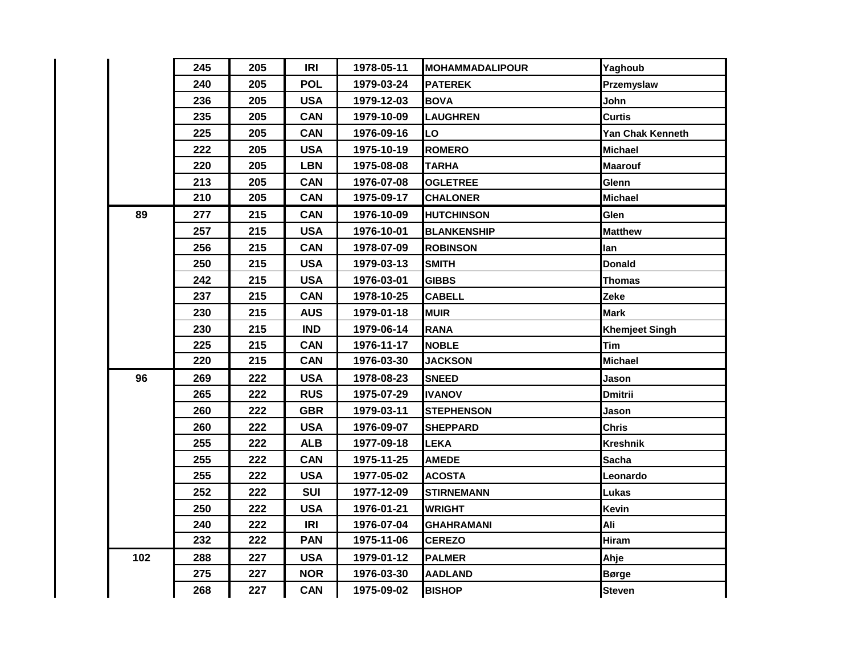|  |     | 245 | 205 | <b>IRI</b> | 1978-05-11 | <b>MOHAMMADALIPOUR</b> | Yaghoub               |
|--|-----|-----|-----|------------|------------|------------------------|-----------------------|
|  |     | 240 | 205 | <b>POL</b> | 1979-03-24 | <b>PATEREK</b>         | Przemyslaw            |
|  |     | 236 | 205 | <b>USA</b> | 1979-12-03 | <b>BOVA</b>            | John                  |
|  |     | 235 | 205 | <b>CAN</b> | 1979-10-09 | <b>LAUGHREN</b>        | <b>Curtis</b>         |
|  |     | 225 | 205 | <b>CAN</b> | 1976-09-16 | LO                     | Yan Chak Kenneth      |
|  |     | 222 | 205 | <b>USA</b> | 1975-10-19 | <b>ROMERO</b>          | <b>Michael</b>        |
|  |     | 220 | 205 | <b>LBN</b> | 1975-08-08 | <b>TARHA</b>           | <b>Maarouf</b>        |
|  |     | 213 | 205 | <b>CAN</b> | 1976-07-08 | <b>OGLETREE</b>        | Glenn                 |
|  |     | 210 | 205 | <b>CAN</b> | 1975-09-17 | <b>CHALONER</b>        | <b>Michael</b>        |
|  | 89  | 277 | 215 | <b>CAN</b> | 1976-10-09 | HUTCHINSON             | Glen                  |
|  |     | 257 | 215 | <b>USA</b> | 1976-10-01 | <b>BLANKENSHIP</b>     | <b>Matthew</b>        |
|  |     | 256 | 215 | <b>CAN</b> | 1978-07-09 | <b>ROBINSON</b>        | lan                   |
|  |     | 250 | 215 | <b>USA</b> | 1979-03-13 | <b>SMITH</b>           | <b>Donald</b>         |
|  |     | 242 | 215 | <b>USA</b> | 1976-03-01 | <b>GIBBS</b>           | Thomas                |
|  |     | 237 | 215 | <b>CAN</b> | 1978-10-25 | <b>CABELL</b>          | Zeke                  |
|  |     | 230 | 215 | <b>AUS</b> | 1979-01-18 | <b>MUIR</b>            | <b>Mark</b>           |
|  |     | 230 | 215 | <b>IND</b> | 1979-06-14 | <b>RANA</b>            | <b>Khemjeet Singh</b> |
|  |     | 225 | 215 | <b>CAN</b> | 1976-11-17 | <b>NOBLE</b>           | <b>Tim</b>            |
|  |     | 220 | 215 | <b>CAN</b> | 1976-03-30 | <b>JACKSON</b>         | <b>Michael</b>        |
|  | 96  | 269 | 222 | <b>USA</b> | 1978-08-23 | <b>SNEED</b>           | Jason                 |
|  |     | 265 | 222 | <b>RUS</b> | 1975-07-29 | <b>IVANOV</b>          | <b>Dmitrii</b>        |
|  |     | 260 | 222 | <b>GBR</b> | 1979-03-11 | <b>STEPHENSON</b>      | Jason                 |
|  |     | 260 | 222 | <b>USA</b> | 1976-09-07 | <b>SHEPPARD</b>        | <b>Chris</b>          |
|  |     | 255 | 222 | <b>ALB</b> | 1977-09-18 | <b>LEKA</b>            | <b>Kreshnik</b>       |
|  |     | 255 | 222 | <b>CAN</b> | 1975-11-25 | <b>AMEDE</b>           | <b>Sacha</b>          |
|  |     | 255 | 222 | <b>USA</b> | 1977-05-02 | <b>ACOSTA</b>          | Leonardo              |
|  |     | 252 | 222 | <b>SUI</b> | 1977-12-09 | <b>STIRNEMANN</b>      | Lukas                 |
|  |     | 250 | 222 | <b>USA</b> | 1976-01-21 | <b>WRIGHT</b>          | <b>Kevin</b>          |
|  |     | 240 | 222 | IRI        | 1976-07-04 | GHAHRAMANI             | Ali                   |
|  |     | 232 | 222 | <b>PAN</b> | 1975-11-06 | <b>CEREZO</b>          | Hiram                 |
|  | 102 | 288 | 227 | <b>USA</b> | 1979-01-12 | <b>PALMER</b>          | Ahje                  |
|  |     | 275 | 227 | <b>NOR</b> | 1976-03-30 | <b>AADLAND</b>         | <b>Børge</b>          |
|  |     | 268 | 227 | <b>CAN</b> | 1975-09-02 | <b>BISHOP</b>          | <b>Steven</b>         |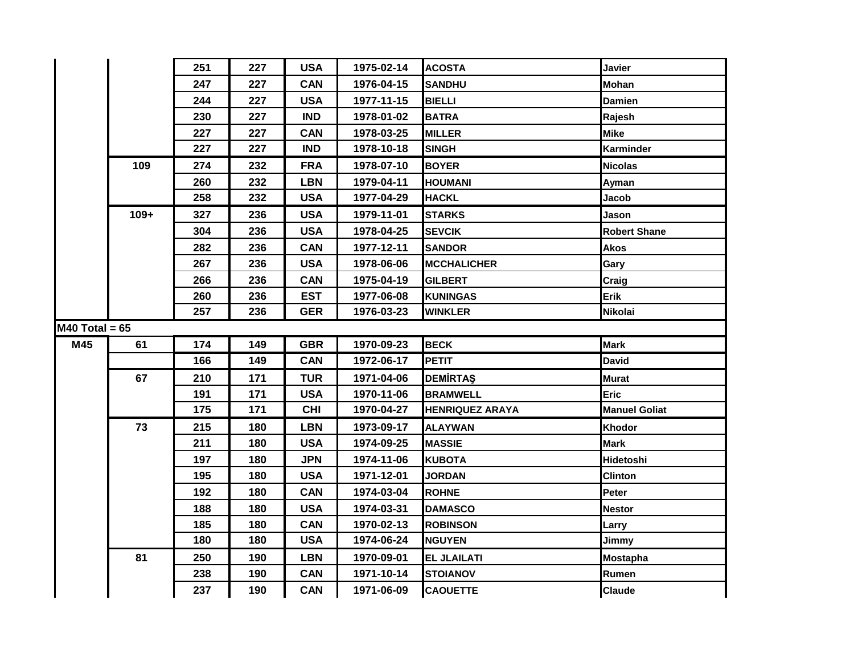|                  |        | 251 | 227 | <b>USA</b> | 1975-02-14 | <b>ACOSTA</b>          | Javier               |
|------------------|--------|-----|-----|------------|------------|------------------------|----------------------|
|                  |        | 247 | 227 | <b>CAN</b> | 1976-04-15 | <b>SANDHU</b>          | Mohan                |
|                  |        | 244 | 227 | <b>USA</b> | 1977-11-15 | <b>BIELLI</b>          | Damien               |
|                  |        | 230 | 227 | <b>IND</b> | 1978-01-02 | <b>BATRA</b>           | Rajesh               |
|                  |        | 227 | 227 | <b>CAN</b> | 1978-03-25 | <b>MILLER</b>          | <b>Mike</b>          |
|                  |        | 227 | 227 | <b>IND</b> | 1978-10-18 | <b>SINGH</b>           | Karminder            |
|                  | 109    | 274 | 232 | <b>FRA</b> | 1978-07-10 | <b>BOYER</b>           | <b>Nicolas</b>       |
|                  |        | 260 | 232 | <b>LBN</b> | 1979-04-11 | <b>HOUMANI</b>         | Ayman                |
|                  |        | 258 | 232 | <b>USA</b> | 1977-04-29 | <b>HACKL</b>           | Jacob                |
|                  | $109+$ | 327 | 236 | <b>USA</b> | 1979-11-01 | <b>STARKS</b>          | Jason                |
|                  |        | 304 | 236 | <b>USA</b> | 1978-04-25 | <b>SEVCIK</b>          | <b>Robert Shane</b>  |
|                  |        | 282 | 236 | <b>CAN</b> | 1977-12-11 | <b>SANDOR</b>          | <b>Akos</b>          |
|                  |        | 267 | 236 | <b>USA</b> | 1978-06-06 | <b>MCCHALICHER</b>     | Gary                 |
|                  |        | 266 | 236 | <b>CAN</b> | 1975-04-19 | <b>GILBERT</b>         | Craig                |
|                  |        | 260 | 236 | <b>EST</b> | 1977-06-08 | <b>KUNINGAS</b>        | Erik                 |
|                  |        | 257 | 236 | <b>GER</b> | 1976-03-23 | <b>WINKLER</b>         | <b>Nikolai</b>       |
| $M40$ Total = 65 |        |     |     |            |            |                        |                      |
| M45              | 61     | 174 | 149 | <b>GBR</b> | 1970-09-23 | <b>BECK</b>            | <b>Mark</b>          |
|                  |        | 166 | 149 | <b>CAN</b> | 1972-06-17 | <b>PETIT</b>           | <b>David</b>         |
|                  | 67     | 210 | 171 | <b>TUR</b> | 1971-04-06 | <b>DEMIRTAS</b>        | <b>Murat</b>         |
|                  |        | 191 | 171 | <b>USA</b> | 1970-11-06 | <b>BRAMWELL</b>        | Eric                 |
|                  |        | 175 | 171 | <b>CHI</b> | 1970-04-27 | <b>HENRIQUEZ ARAYA</b> | <b>Manuel Goliat</b> |
|                  | 73     | 215 | 180 | <b>LBN</b> | 1973-09-17 | <b>ALAYWAN</b>         | Khodor               |
|                  |        | 211 | 180 | <b>USA</b> | 1974-09-25 | <b>MASSIE</b>          | <b>Mark</b>          |
|                  |        | 197 | 180 | <b>JPN</b> | 1974-11-06 | <b>KUBOTA</b>          | Hidetoshi            |
|                  |        | 195 | 180 | <b>USA</b> | 1971-12-01 | <b>JORDAN</b>          | <b>Clinton</b>       |
|                  |        | 192 | 180 | <b>CAN</b> | 1974-03-04 | <b>ROHNE</b>           | Peter                |
|                  |        | 188 | 180 | <b>USA</b> | 1974-03-31 | <b>DAMASCO</b>         | <b>Nestor</b>        |
|                  |        | 185 | 180 | <b>CAN</b> | 1970-02-13 | <b>ROBINSON</b>        | Larry                |
|                  |        | 180 | 180 | <b>USA</b> | 1974-06-24 | <b>NGUYEN</b>          | Jimmy                |
|                  | 81     | 250 | 190 | <b>LBN</b> | 1970-09-01 | <b>EL JLAILATI</b>     | <b>Mostapha</b>      |
|                  |        | 238 | 190 | <b>CAN</b> | 1971-10-14 | <b>STOIANOV</b>        | Rumen                |
|                  |        | 237 | 190 | <b>CAN</b> | 1971-06-09 | <b>CAOUETTE</b>        | <b>Claude</b>        |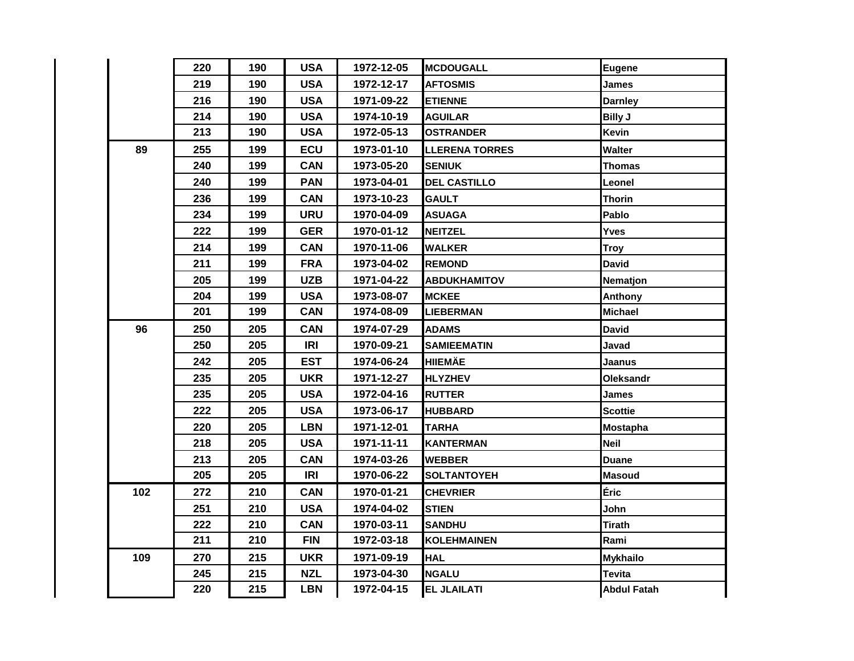|     | 220 | 190 | <b>USA</b> | 1972-12-05 | <b>MCDOUGALL</b>      | <b>Eugene</b>      |
|-----|-----|-----|------------|------------|-----------------------|--------------------|
|     | 219 | 190 | <b>USA</b> | 1972-12-17 | <b>AFTOSMIS</b>       | <b>James</b>       |
|     | 216 | 190 | <b>USA</b> | 1971-09-22 | <b>ETIENNE</b>        | <b>Darnley</b>     |
|     | 214 | 190 | <b>USA</b> | 1974-10-19 | <b>AGUILAR</b>        | <b>Billy J</b>     |
|     | 213 | 190 | <b>USA</b> | 1972-05-13 | <b>OSTRANDER</b>      | Kevin              |
| 89  | 255 | 199 | <b>ECU</b> | 1973-01-10 | <b>LLERENA TORRES</b> | Walter             |
|     | 240 | 199 | <b>CAN</b> | 1973-05-20 | <b>SENIUK</b>         | <b>Thomas</b>      |
|     | 240 | 199 | <b>PAN</b> | 1973-04-01 | <b>DEL CASTILLO</b>   | Leonel             |
|     | 236 | 199 | <b>CAN</b> | 1973-10-23 | <b>GAULT</b>          | <b>Thorin</b>      |
|     | 234 | 199 | <b>URU</b> | 1970-04-09 | <b>ASUAGA</b>         | Pablo              |
|     | 222 | 199 | <b>GER</b> | 1970-01-12 | <b>NEITZEL</b>        | Yves               |
|     | 214 | 199 | <b>CAN</b> | 1970-11-06 | <b>WALKER</b>         | <b>Troy</b>        |
|     | 211 | 199 | <b>FRA</b> | 1973-04-02 | <b>REMOND</b>         | <b>David</b>       |
|     | 205 | 199 | <b>UZB</b> | 1971-04-22 | ABDUKHAMITOV          | Nematjon           |
|     | 204 | 199 | <b>USA</b> | 1973-08-07 | <b>MCKEE</b>          | Anthony            |
|     | 201 | 199 | <b>CAN</b> | 1974-08-09 | <b>LIEBERMAN</b>      | <b>Michael</b>     |
| 96  | 250 | 205 | <b>CAN</b> | 1974-07-29 | <b>ADAMS</b>          | <b>David</b>       |
|     | 250 | 205 | <b>IRI</b> | 1970-09-21 | <b>SAMIEEMATIN</b>    | Javad              |
|     | 242 | 205 | <b>EST</b> | 1974-06-24 | <b>HIIEMÄE</b>        | Jaanus             |
|     | 235 | 205 | <b>UKR</b> | 1971-12-27 | <b>HLYZHEV</b>        | Oleksandr          |
|     | 235 | 205 | <b>USA</b> | 1972-04-16 | <b>RUTTER</b>         | James              |
|     | 222 | 205 | <b>USA</b> | 1973-06-17 | <b>HUBBARD</b>        | <b>Scottie</b>     |
|     | 220 | 205 | <b>LBN</b> | 1971-12-01 | <b>TARHA</b>          | <b>Mostapha</b>    |
|     | 218 | 205 | <b>USA</b> | 1971-11-11 | <b>KANTERMAN</b>      | <b>Neil</b>        |
|     | 213 | 205 | <b>CAN</b> | 1974-03-26 | <b>WEBBER</b>         | <b>Duane</b>       |
|     | 205 | 205 | <b>IRI</b> | 1970-06-22 | <b>SOLTANTOYEH</b>    | <b>Masoud</b>      |
| 102 | 272 | 210 | <b>CAN</b> | 1970-01-21 | <b>CHEVRIER</b>       | Éric               |
|     | 251 | 210 | <b>USA</b> | 1974-04-02 | <b>STIEN</b>          | John               |
|     | 222 | 210 | <b>CAN</b> | 1970-03-11 | <b>SANDHU</b>         | <b>Tirath</b>      |
|     | 211 | 210 | <b>FIN</b> | 1972-03-18 | <b>KOLEHMAINEN</b>    | Rami               |
| 109 | 270 | 215 | <b>UKR</b> | 1971-09-19 | <b>HAL</b>            | <b>Mykhailo</b>    |
|     | 245 | 215 | <b>NZL</b> | 1973-04-30 | <b>NGALU</b>          | <b>Tevita</b>      |
|     | 220 | 215 | <b>LBN</b> | 1972-04-15 | <b>EL JLAILATI</b>    | <b>Abdul Fatah</b> |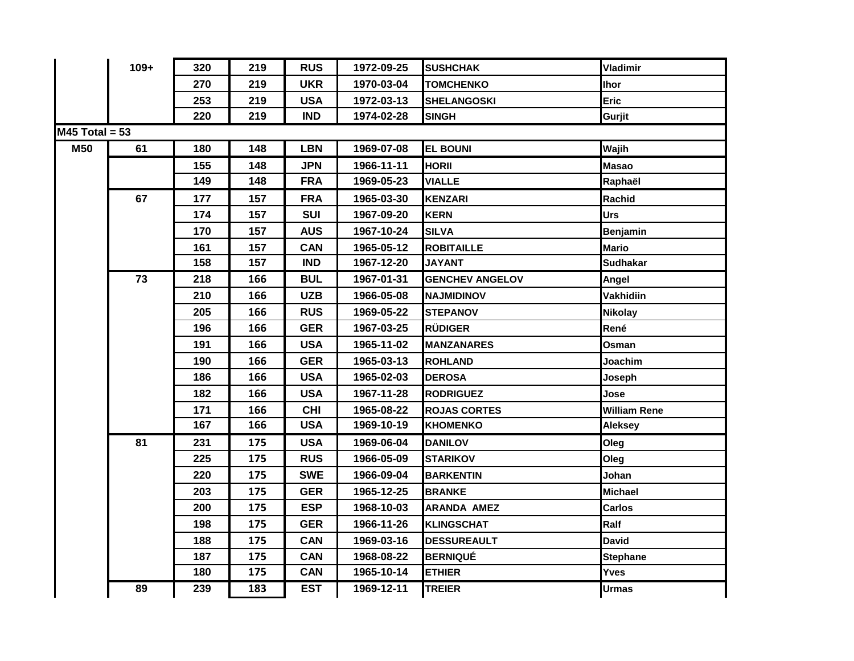|                  | $109+$ | 320 | 219 | <b>RUS</b> | 1972-09-25 | <b>SUSHCHAK</b>          | Vladimir            |
|------------------|--------|-----|-----|------------|------------|--------------------------|---------------------|
|                  |        | 270 | 219 | <b>UKR</b> | 1970-03-04 | <b>TOMCHENKO</b>         | <b>Ihor</b>         |
|                  |        | 253 | 219 | <b>USA</b> | 1972-03-13 | <b>SHELANGOSKI</b>       | Eric                |
|                  |        | 220 | 219 | <b>IND</b> | 1974-02-28 | <b>SINGH</b>             | Gurjit              |
| $M45$ Total = 53 |        |     |     |            |            |                          |                     |
| <b>M50</b>       | 61     | 180 | 148 | <b>LBN</b> | 1969-07-08 | <b>EL BOUNI</b>          | Wajih               |
|                  |        | 155 | 148 | <b>JPN</b> | 1966-11-11 | <b>HORII</b>             | <b>Masao</b>        |
|                  |        | 149 | 148 | <b>FRA</b> | 1969-05-23 | <b>VIALLE</b>            | Raphaël             |
|                  | 67     | 177 | 157 | <b>FRA</b> | 1965-03-30 | <b>KENZARI</b>           | Rachid              |
|                  |        | 174 | 157 | <b>SUI</b> | 1967-09-20 | <b>KERN</b>              | <b>Urs</b>          |
|                  |        | 170 | 157 | <b>AUS</b> | 1967-10-24 | <b>SILVA</b>             | <b>Benjamin</b>     |
|                  |        | 161 | 157 | <b>CAN</b> | 1965-05-12 | <b>ROBITAILLE</b>        | <b>Mario</b>        |
|                  |        | 158 | 157 | <b>IND</b> | 1967-12-20 | <b>JAYANT</b>            | Sudhakar            |
|                  | 73     | 218 | 166 | <b>BUL</b> | 1967-01-31 | <b>GENCHEV ANGELOV</b>   | Angel               |
|                  |        | 210 | 166 | <b>UZB</b> | 1966-05-08 | <b><i>NAJMIDINOV</i></b> | Vakhidiin           |
|                  |        | 205 | 166 | <b>RUS</b> | 1969-05-22 | <b>STEPANOV</b>          | <b>Nikolay</b>      |
|                  |        | 196 | 166 | <b>GER</b> | 1967-03-25 | <b>RÜDIGER</b>           | René                |
|                  |        | 191 | 166 | <b>USA</b> | 1965-11-02 | <b>MANZANARES</b>        | Osman               |
|                  |        | 190 | 166 | <b>GER</b> | 1965-03-13 | <b>ROHLAND</b>           | Joachim             |
|                  |        | 186 | 166 | <b>USA</b> | 1965-02-03 | <b>DEROSA</b>            | Joseph              |
|                  |        | 182 | 166 | <b>USA</b> | 1967-11-28 | <b>RODRIGUEZ</b>         | Jose                |
|                  |        | 171 | 166 | <b>CHI</b> | 1965-08-22 | <b>ROJAS CORTES</b>      | <b>William Rene</b> |
|                  |        | 167 | 166 | <b>USA</b> | 1969-10-19 | <b>KHOMENKO</b>          | <b>Aleksey</b>      |
|                  | 81     | 231 | 175 | <b>USA</b> | 1969-06-04 | <b>DANILOV</b>           | Oleg                |
|                  |        | 225 | 175 | <b>RUS</b> | 1966-05-09 | STARIKOV                 | Oleg                |
|                  |        | 220 | 175 | <b>SWE</b> | 1966-09-04 | <b>BARKENTIN</b>         | Johan               |
|                  |        | 203 | 175 | <b>GER</b> | 1965-12-25 | <b>BRANKE</b>            | <b>Michael</b>      |
|                  |        | 200 | 175 | <b>ESP</b> | 1968-10-03 | <b>ARANDA AMEZ</b>       | <b>Carlos</b>       |
|                  |        | 198 | 175 | <b>GER</b> | 1966-11-26 | <b>KLINGSCHAT</b>        | Ralf                |
|                  |        | 188 | 175 | <b>CAN</b> | 1969-03-16 | <b>DESSUREAULT</b>       | <b>David</b>        |
|                  |        | 187 | 175 | <b>CAN</b> | 1968-08-22 | <b>BERNIQUÉ</b>          | <b>Stephane</b>     |
|                  |        | 180 | 175 | <b>CAN</b> | 1965-10-14 | <b>ETHIER</b>            | <b>Yves</b>         |
|                  |        |     |     |            |            |                          |                     |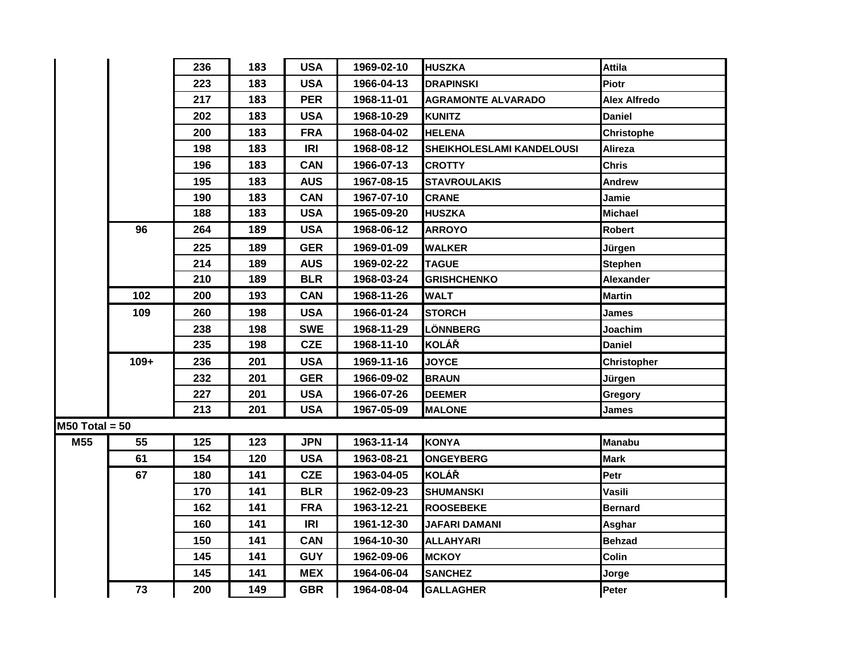|                  |        | 236 | 183 | <b>USA</b> | 1969-02-10 | <b>HUSZKA</b>             | <b>Attila</b>       |
|------------------|--------|-----|-----|------------|------------|---------------------------|---------------------|
|                  |        | 223 | 183 | <b>USA</b> | 1966-04-13 | <b>DRAPINSKI</b>          | <b>Piotr</b>        |
|                  |        | 217 | 183 | <b>PER</b> | 1968-11-01 | <b>AGRAMONTE ALVARADO</b> | <b>Alex Alfredo</b> |
|                  |        | 202 | 183 | <b>USA</b> | 1968-10-29 | <b>KUNITZ</b>             | <b>Daniel</b>       |
|                  |        | 200 | 183 | <b>FRA</b> | 1968-04-02 | <b>HELENA</b>             | <b>Christophe</b>   |
|                  |        | 198 | 183 | <b>IRI</b> | 1968-08-12 | SHEIKHOLESLAMI KANDELOUSI | Alireza             |
|                  |        | 196 | 183 | <b>CAN</b> | 1966-07-13 | <b>CROTTY</b>             | <b>Chris</b>        |
|                  |        | 195 | 183 | <b>AUS</b> | 1967-08-15 | <b>STAVROULAKIS</b>       | Andrew              |
|                  |        | 190 | 183 | <b>CAN</b> | 1967-07-10 | <b>CRANE</b>              | Jamie               |
|                  |        | 188 | 183 | <b>USA</b> | 1965-09-20 | <b>HUSZKA</b>             | <b>Michael</b>      |
|                  | 96     | 264 | 189 | <b>USA</b> | 1968-06-12 | <b>ARROYO</b>             | <b>Robert</b>       |
|                  |        | 225 | 189 | <b>GER</b> | 1969-01-09 | <b>WALKER</b>             | Jürgen              |
|                  |        | 214 | 189 | <b>AUS</b> | 1969-02-22 | <b>TAGUE</b>              | <b>Stephen</b>      |
|                  |        | 210 | 189 | <b>BLR</b> | 1968-03-24 | <b>GRISHCHENKO</b>        | Alexander           |
|                  | 102    | 200 | 193 | <b>CAN</b> | 1968-11-26 | <b>WALT</b>               | <b>Martin</b>       |
|                  | 109    | 260 | 198 | <b>USA</b> | 1966-01-24 | <b>STORCH</b>             | James               |
|                  |        | 238 | 198 | <b>SWE</b> | 1968-11-29 | <b>LÖNNBERG</b>           | Joachim             |
|                  |        | 235 | 198 | <b>CZE</b> | 1968-11-10 | <b>KOLÁŘ</b>              | <b>Daniel</b>       |
|                  | $109+$ | 236 | 201 | <b>USA</b> | 1969-11-16 | <b>JOYCE</b>              | <b>Christopher</b>  |
|                  |        | 232 | 201 | <b>GER</b> | 1966-09-02 | <b>BRAUN</b>              | Jürgen              |
|                  |        | 227 | 201 | <b>USA</b> | 1966-07-26 | <b>DEEMER</b>             | Gregory             |
|                  |        | 213 | 201 | <b>USA</b> | 1967-05-09 | <b>MALONE</b>             | James               |
| $MS0$ Total = 50 |        |     |     |            |            |                           |                     |
| M55              | 55     | 125 | 123 | <b>JPN</b> | 1963-11-14 | <b>KONYA</b>              | <b>Manabu</b>       |
|                  | 61     | 154 | 120 | <b>USA</b> | 1963-08-21 | <b>ONGEYBERG</b>          | <b>Mark</b>         |
|                  | 67     | 180 | 141 | <b>CZE</b> | 1963-04-05 | <b>KOLÁŘ</b>              | Petr                |
|                  |        | 170 | 141 | <b>BLR</b> | 1962-09-23 | <b>SHUMANSKI</b>          | Vasili              |
|                  |        | 162 | 141 | <b>FRA</b> | 1963-12-21 | <b>ROOSEBEKE</b>          | <b>Bernard</b>      |
|                  |        | 160 | 141 | IRI        | 1961-12-30 | <b>JAFARI DAMANI</b>      | Asghar              |
|                  |        | 150 | 141 | <b>CAN</b> | 1964-10-30 | ALLAHYARI                 | <b>Behzad</b>       |
|                  |        | 145 | 141 | <b>GUY</b> | 1962-09-06 | <b>MCKOY</b>              | <b>Colin</b>        |
|                  |        | 145 | 141 | <b>MEX</b> | 1964-06-04 | <b>SANCHEZ</b>            | Jorge               |
|                  | 73     | 200 | 149 | <b>GBR</b> | 1964-08-04 | <b>GALLAGHER</b>          | <b>Peter</b>        |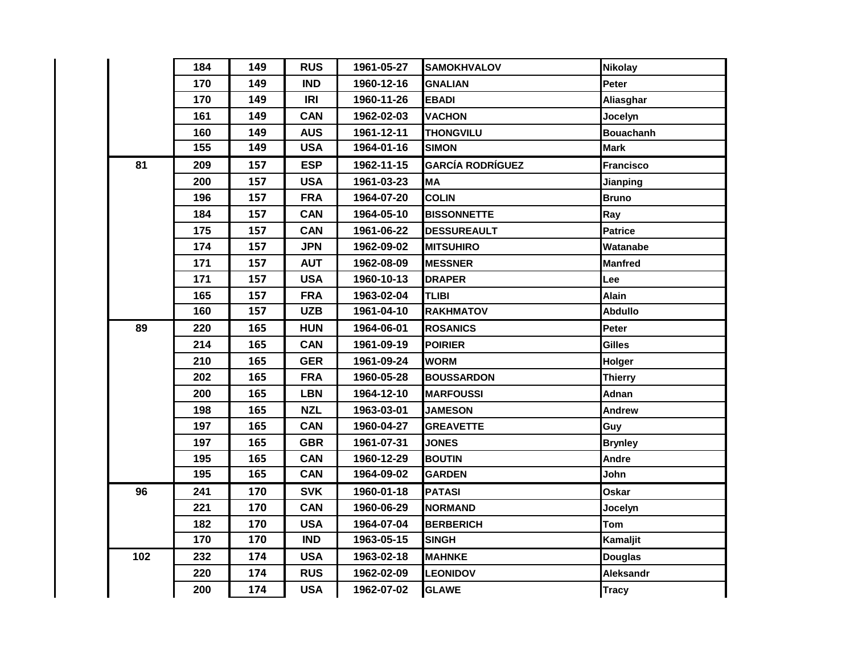|     | 184 | 149 | <b>RUS</b> | 1961-05-27 | <b>SAMOKHVALOV</b>      | <b>Nikolay</b>   |
|-----|-----|-----|------------|------------|-------------------------|------------------|
|     | 170 | 149 | <b>IND</b> | 1960-12-16 | GNALIAN                 | Peter            |
|     | 170 | 149 | IRI        | 1960-11-26 | <b>EBADI</b>            | Aliasghar        |
|     | 161 | 149 | <b>CAN</b> | 1962-02-03 | VACHON                  | Jocelyn          |
|     | 160 | 149 | <b>AUS</b> | 1961-12-11 | <b>THONGVILU</b>        | <b>Bouachanh</b> |
|     | 155 | 149 | <b>USA</b> | 1964-01-16 | <b>SIMON</b>            | <b>Mark</b>      |
| 81  | 209 | 157 | <b>ESP</b> | 1962-11-15 | <b>GARCÍA RODRÍGUEZ</b> | <b>Francisco</b> |
|     | 200 | 157 | <b>USA</b> | 1961-03-23 | ΜA                      | Jianping         |
|     | 196 | 157 | <b>FRA</b> | 1964-07-20 | <b>COLIN</b>            | <b>Bruno</b>     |
|     | 184 | 157 | <b>CAN</b> | 1964-05-10 | <b>BISSONNETTE</b>      | Ray              |
|     | 175 | 157 | <b>CAN</b> | 1961-06-22 | <b>DESSUREAULT</b>      | <b>Patrice</b>   |
|     | 174 | 157 | <b>JPN</b> | 1962-09-02 | <b>MITSUHIRO</b>        | Watanabe         |
|     | 171 | 157 | <b>AUT</b> | 1962-08-09 | <b>MESSNER</b>          | <b>Manfred</b>   |
|     | 171 | 157 | <b>USA</b> | 1960-10-13 | <b>DRAPER</b>           | Lee              |
|     | 165 | 157 | <b>FRA</b> | 1963-02-04 | <b>TLIBI</b>            | <b>Alain</b>     |
|     | 160 | 157 | <b>UZB</b> | 1961-04-10 | <b>RAKHMATOV</b>        | <b>Abdullo</b>   |
| 89  | 220 | 165 | <b>HUN</b> | 1964-06-01 | <b>ROSANICS</b>         | Peter            |
|     | 214 | 165 | <b>CAN</b> | 1961-09-19 | <b>POIRIER</b>          | <b>Gilles</b>    |
|     | 210 | 165 | <b>GER</b> | 1961-09-24 | <b>WORM</b>             | Holger           |
|     | 202 | 165 | <b>FRA</b> | 1960-05-28 | <b>BOUSSARDON</b>       | <b>Thierry</b>   |
|     | 200 | 165 | <b>LBN</b> | 1964-12-10 | <b>MARFOUSSI</b>        | Adnan            |
|     | 198 | 165 | <b>NZL</b> | 1963-03-01 | <b>JAMESON</b>          | Andrew           |
|     | 197 | 165 | <b>CAN</b> | 1960-04-27 | <b>GREAVETTE</b>        | Guy              |
|     | 197 | 165 | <b>GBR</b> | 1961-07-31 | <b>JONES</b>            | <b>Brynley</b>   |
|     | 195 | 165 | <b>CAN</b> | 1960-12-29 | <b>BOUTIN</b>           | <b>Andre</b>     |
|     | 195 | 165 | <b>CAN</b> | 1964-09-02 | <b>GARDEN</b>           | John             |
| 96  | 241 | 170 | <b>SVK</b> | 1960-01-18 | PATASI                  | Oskar            |
|     | 221 | 170 | <b>CAN</b> | 1960-06-29 | <b>NORMAND</b>          | Jocelyn          |
|     | 182 | 170 | <b>USA</b> | 1964-07-04 | <b>BERBERICH</b>        | Tom              |
|     | 170 | 170 | <b>IND</b> | 1963-05-15 | <b>SINGH</b>            | Kamaljit         |
| 102 | 232 | 174 | <b>USA</b> | 1963-02-18 | <b>MAHNKE</b>           | <b>Douglas</b>   |
|     | 220 | 174 | <b>RUS</b> | 1962-02-09 | <b>LEONIDOV</b>         | Aleksandr        |
|     | 200 | 174 | <b>USA</b> | 1962-07-02 | <b>GLAWE</b>            | <b>Tracy</b>     |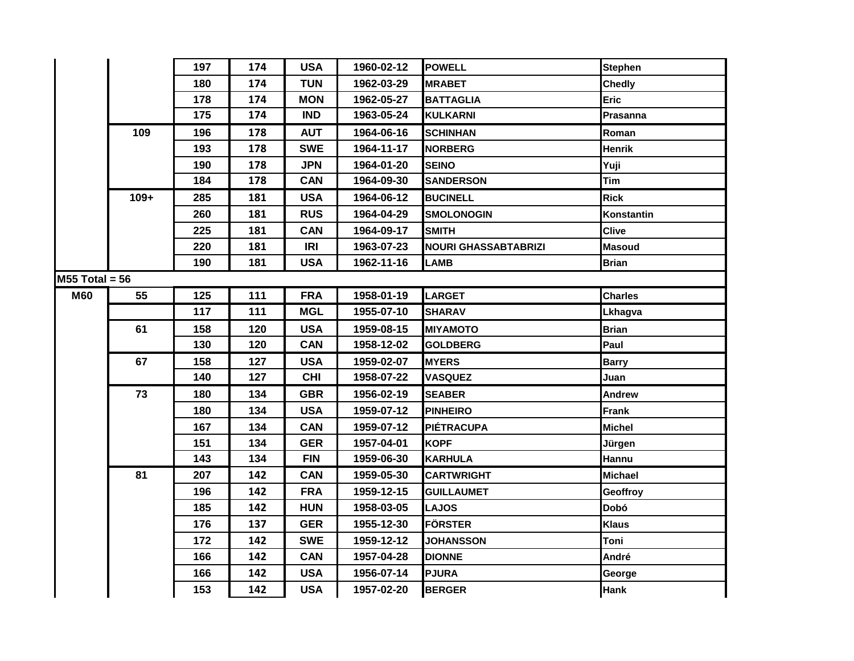|                  |        | 197 | 174 | <b>USA</b> | 1960-02-12 | <b>POWELL</b>               | <b>Stephen</b> |
|------------------|--------|-----|-----|------------|------------|-----------------------------|----------------|
|                  |        | 180 | 174 | <b>TUN</b> | 1962-03-29 | <b>MRABET</b>               | <b>Chedly</b>  |
|                  |        | 178 | 174 | <b>MON</b> | 1962-05-27 | <b>BATTAGLIA</b>            | <b>Eric</b>    |
|                  |        | 175 | 174 | <b>IND</b> | 1963-05-24 | <b>KULKARNI</b>             | Prasanna       |
|                  | 109    | 196 | 178 | <b>AUT</b> | 1964-06-16 | <b>SCHINHAN</b>             | Roman          |
|                  |        | 193 | 178 | <b>SWE</b> | 1964-11-17 | <b>NORBERG</b>              | Henrik         |
|                  |        | 190 | 178 | <b>JPN</b> | 1964-01-20 | <b>SEINO</b>                | Yuji           |
|                  |        | 184 | 178 | <b>CAN</b> | 1964-09-30 | <b>SANDERSON</b>            | <b>Tim</b>     |
|                  | $109+$ | 285 | 181 | <b>USA</b> | 1964-06-12 | <b>BUCINELL</b>             | <b>Rick</b>    |
|                  |        | 260 | 181 | <b>RUS</b> | 1964-04-29 | <b>SMOLONOGIN</b>           | Konstantin     |
|                  |        | 225 | 181 | <b>CAN</b> | 1964-09-17 | <b>SMITH</b>                | <b>Clive</b>   |
|                  |        | 220 | 181 | <b>IRI</b> | 1963-07-23 | <b>NOURI GHASSABTABRIZI</b> | <b>Masoud</b>  |
|                  |        | 190 | 181 | <b>USA</b> | 1962-11-16 | <b>LAMB</b>                 | <b>Brian</b>   |
| $M55$ Total = 56 |        |     |     |            |            |                             |                |
| <b>M60</b>       | 55     | 125 | 111 | <b>FRA</b> | 1958-01-19 | <b>LARGET</b>               | <b>Charles</b> |
|                  |        | 117 | 111 | <b>MGL</b> | 1955-07-10 | <b>SHARAV</b>               | Lkhagva        |
|                  | 61     | 158 | 120 | <b>USA</b> | 1959-08-15 | <b>MIYAMOTO</b>             | <b>Brian</b>   |
|                  |        | 130 | 120 | <b>CAN</b> | 1958-12-02 | <b>GOLDBERG</b>             | Paul           |
|                  | 67     | 158 | 127 | <b>USA</b> | 1959-02-07 | <b>MYERS</b>                | <b>Barry</b>   |
|                  |        | 140 | 127 | <b>CHI</b> | 1958-07-22 | <b>VASQUEZ</b>              | Juan           |
|                  | 73     | 180 | 134 | <b>GBR</b> | 1956-02-19 | <b>SEABER</b>               | <b>Andrew</b>  |
|                  |        | 180 | 134 | <b>USA</b> | 1959-07-12 | <b>PINHEIRO</b>             | Frank          |
|                  |        | 167 | 134 | <b>CAN</b> | 1959-07-12 | <b>PIÉTRACUPA</b>           | <b>Michel</b>  |
|                  |        | 151 | 134 | <b>GER</b> | 1957-04-01 | <b>KOPF</b>                 | Jürgen         |
|                  |        | 143 | 134 | <b>FIN</b> | 1959-06-30 | <b>KARHULA</b>              | Hannu          |
|                  | 81     | 207 | 142 | <b>CAN</b> | 1959-05-30 | <b>CARTWRIGHT</b>           | <b>Michael</b> |
|                  |        | 196 | 142 | <b>FRA</b> | 1959-12-15 | <b>GUILLAUMET</b>           | Geoffroy       |
|                  |        | 185 | 142 | <b>HUN</b> | 1958-03-05 | <b>LAJOS</b>                | Dobó           |
|                  |        | 176 | 137 | <b>GER</b> | 1955-12-30 | <b>FÖRSTER</b>              | <b>Klaus</b>   |
|                  |        | 172 | 142 | <b>SWE</b> | 1959-12-12 | <b>JOHANSSON</b>            | Toni           |
|                  |        | 166 | 142 | <b>CAN</b> | 1957-04-28 | <b>DIONNE</b>               | André          |
|                  |        | 166 | 142 | <b>USA</b> | 1956-07-14 | <b>PJURA</b>                | George         |
|                  |        | 153 | 142 | <b>USA</b> | 1957-02-20 | <b>BERGER</b>               | <b>Hank</b>    |
|                  |        |     |     |            |            |                             |                |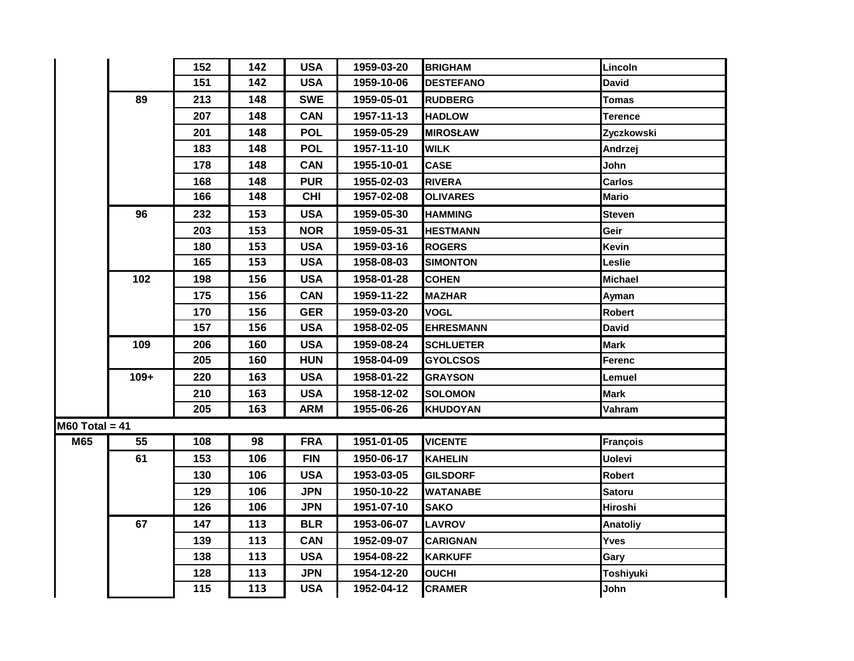|                  |        | 152 | 142 | <b>USA</b> | 1959-03-20 | <b>BRIGHAM</b>   | Lincoln          |
|------------------|--------|-----|-----|------------|------------|------------------|------------------|
|                  |        | 151 | 142 | <b>USA</b> | 1959-10-06 | <b>DESTEFANO</b> | <b>David</b>     |
|                  | 89     | 213 | 148 | <b>SWE</b> | 1959-05-01 | <b>RUDBERG</b>   | Tomas            |
|                  |        | 207 | 148 | <b>CAN</b> | 1957-11-13 | <b>HADLOW</b>    | Terence          |
|                  |        | 201 | 148 | <b>POL</b> | 1959-05-29 | <b>MIROSŁAW</b>  | Zyczkowski       |
|                  |        | 183 | 148 | <b>POL</b> | 1957-11-10 | <b>WILK</b>      | Andrzej          |
|                  |        | 178 | 148 | <b>CAN</b> | 1955-10-01 | <b>CASE</b>      | John             |
|                  |        | 168 | 148 | <b>PUR</b> | 1955-02-03 | <b>RIVERA</b>    | <b>Carlos</b>    |
|                  |        | 166 | 148 | <b>CHI</b> | 1957-02-08 | <b>OLIVARES</b>  | <b>Mario</b>     |
|                  | 96     | 232 | 153 | <b>USA</b> | 1959-05-30 | <b>HAMMING</b>   | <b>Steven</b>    |
|                  |        | 203 | 153 | <b>NOR</b> | 1959-05-31 | <b>HESTMANN</b>  | Geir             |
|                  |        | 180 | 153 | <b>USA</b> | 1959-03-16 | <b>ROGERS</b>    | <b>Kevin</b>     |
|                  |        | 165 | 153 | <b>USA</b> | 1958-08-03 | <b>SIMONTON</b>  | Leslie           |
|                  | 102    | 198 | 156 | <b>USA</b> | 1958-01-28 | <b>COHEN</b>     | <b>Michael</b>   |
|                  |        | 175 | 156 | <b>CAN</b> | 1959-11-22 | <b>MAZHAR</b>    | Ayman            |
|                  |        | 170 | 156 | <b>GER</b> | 1959-03-20 | VOGL             | <b>Robert</b>    |
|                  |        | 157 | 156 | <b>USA</b> | 1958-02-05 | <b>EHRESMANN</b> | <b>David</b>     |
|                  | 109    | 206 | 160 | <b>USA</b> | 1959-08-24 | <b>SCHLUETER</b> | <b>Mark</b>      |
|                  |        | 205 | 160 | <b>HUN</b> | 1958-04-09 | <b>GYOLCSOS</b>  | Ferenc           |
|                  | $109+$ | 220 | 163 | <b>USA</b> | 1958-01-22 | <b>GRAYSON</b>   | Lemuel           |
|                  |        | 210 | 163 | <b>USA</b> | 1958-12-02 | <b>SOLOMON</b>   | <b>Mark</b>      |
|                  |        | 205 | 163 | <b>ARM</b> | 1955-06-26 | <b>KHUDOYAN</b>  | Vahram           |
| $M60$ Total = 41 |        |     |     |            |            |                  |                  |
| M65              | 55     | 108 | 98  | <b>FRA</b> | 1951-01-05 | <b>VICENTE</b>   | <b>François</b>  |
|                  | 61     | 153 | 106 | <b>FIN</b> | 1950-06-17 | <b>KAHELIN</b>   | <b>Uolevi</b>    |
|                  |        | 130 | 106 | <b>USA</b> | 1953-03-05 | <b>GILSDORF</b>  | <b>Robert</b>    |
|                  |        | 129 | 106 | <b>JPN</b> | 1950-10-22 | WATANABE         | <b>Satoru</b>    |
|                  |        | 126 | 106 | <b>JPN</b> | 1951-07-10 | <b>SAKO</b>      | <b>Hiroshi</b>   |
|                  | 67     | 147 | 113 | <b>BLR</b> | 1953-06-07 | <b>LAVROV</b>    | <b>Anatoliy</b>  |
|                  |        | 139 | 113 | <b>CAN</b> | 1952-09-07 | <b>CARIGNAN</b>  | <b>Yves</b>      |
|                  |        | 138 | 113 | <b>USA</b> | 1954-08-22 | <b>KARKUFF</b>   | Gary             |
|                  |        | 128 | 113 | <b>JPN</b> | 1954-12-20 | <b>OUCHI</b>     | <b>Toshiyuki</b> |
|                  |        | 115 | 113 | <b>USA</b> | 1952-04-12 | <b>CRAMER</b>    | John             |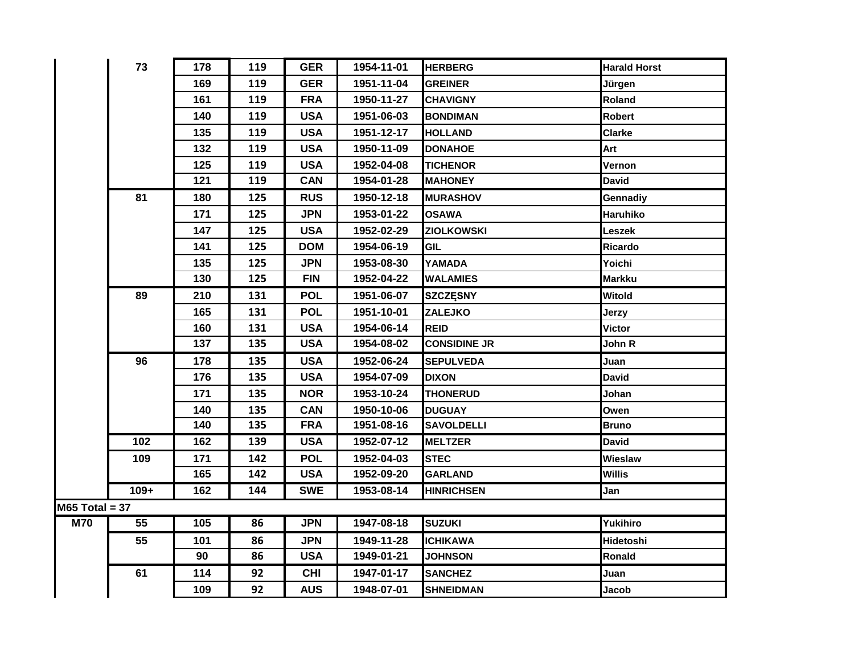|                  | 73              | 178 | 119 | <b>GER</b> | 1954-11-01 | <b>HERBERG</b>      | <b>Harald Horst</b> |
|------------------|-----------------|-----|-----|------------|------------|---------------------|---------------------|
|                  |                 | 169 | 119 | <b>GER</b> | 1951-11-04 | <b>GREINER</b>      | Jürgen              |
|                  |                 | 161 | 119 | <b>FRA</b> | 1950-11-27 | <b>CHAVIGNY</b>     | Roland              |
|                  |                 | 140 | 119 | <b>USA</b> | 1951-06-03 | <b>BONDIMAN</b>     | <b>Robert</b>       |
|                  |                 | 135 | 119 | <b>USA</b> | 1951-12-17 | <b>HOLLAND</b>      | <b>Clarke</b>       |
|                  |                 | 132 | 119 | <b>USA</b> | 1950-11-09 | <b>DONAHOE</b>      | Art                 |
|                  |                 | 125 | 119 | <b>USA</b> | 1952-04-08 | <b>TICHENOR</b>     | Vernon              |
|                  |                 | 121 | 119 | <b>CAN</b> | 1954-01-28 | <b>MAHONEY</b>      | <b>David</b>        |
|                  | 81              | 180 | 125 | <b>RUS</b> | 1950-12-18 | <b>MURASHOV</b>     | Gennadiy            |
|                  |                 | 171 | 125 | <b>JPN</b> | 1953-01-22 | <b>OSAWA</b>        | Haruhiko            |
|                  |                 | 147 | 125 | <b>USA</b> | 1952-02-29 | <b>ZIOLKOWSKI</b>   | Leszek              |
|                  |                 | 141 | 125 | <b>DOM</b> | 1954-06-19 | <b>GIL</b>          | Ricardo             |
|                  |                 | 135 | 125 | <b>JPN</b> | 1953-08-30 | YAMADA              | Yoichi              |
|                  |                 | 130 | 125 | <b>FIN</b> | 1952-04-22 | <b>WALAMIES</b>     | <b>Markku</b>       |
|                  | 89              | 210 | 131 | <b>POL</b> | 1951-06-07 | <b>SZCZĘSNY</b>     | Witold              |
|                  |                 | 165 | 131 | <b>POL</b> | 1951-10-01 | <b>ZALEJKO</b>      | Jerzy               |
|                  |                 | 160 | 131 | <b>USA</b> | 1954-06-14 | <b>REID</b>         | <b>Victor</b>       |
|                  |                 | 137 | 135 | <b>USA</b> | 1954-08-02 | <b>CONSIDINE JR</b> | John R              |
|                  | 96              | 178 | 135 | <b>USA</b> | 1952-06-24 | <b>SEPULVEDA</b>    | Juan                |
|                  |                 | 176 | 135 | <b>USA</b> | 1954-07-09 | <b>DIXON</b>        | David               |
|                  |                 | 171 | 135 | <b>NOR</b> | 1953-10-24 | <b>THONERUD</b>     | Johan               |
|                  |                 | 140 | 135 | <b>CAN</b> | 1950-10-06 | <b>DUGUAY</b>       | Owen                |
|                  |                 | 140 | 135 | <b>FRA</b> | 1951-08-16 | <b>SAVOLDELLI</b>   | <b>Bruno</b>        |
|                  | $\frac{1}{102}$ | 162 | 139 | <b>USA</b> | 1952-07-12 | <b>MELTZER</b>      | David               |
|                  | 109             | 171 | 142 | <b>POL</b> | 1952-04-03 | <b>STEC</b>         | Wieslaw             |
|                  |                 | 165 | 142 | <b>USA</b> | 1952-09-20 | <b>GARLAND</b>      | <b>Willis</b>       |
|                  | $109+$          | 162 | 144 | <b>SWE</b> | 1953-08-14 | <b>HINRICHSEN</b>   | Jan                 |
| $M65$ Total = 37 |                 |     |     |            |            |                     |                     |
| <b>M70</b>       | 55              | 105 | 86  | <b>JPN</b> | 1947-08-18 | <b>SUZUKI</b>       | Yukihiro            |
|                  | 55              | 101 | 86  | <b>JPN</b> | 1949-11-28 | <b>ICHIKAWA</b>     | Hidetoshi           |
|                  |                 | 90  | 86  | <b>USA</b> | 1949-01-21 | <b>JOHNSON</b>      | Ronald              |
|                  | 61              | 114 | 92  | <b>CHI</b> | 1947-01-17 | <b>SANCHEZ</b>      | Juan                |
|                  |                 | 109 | 92  | <b>AUS</b> | 1948-07-01 | <b>SHNEIDMAN</b>    | Jacob               |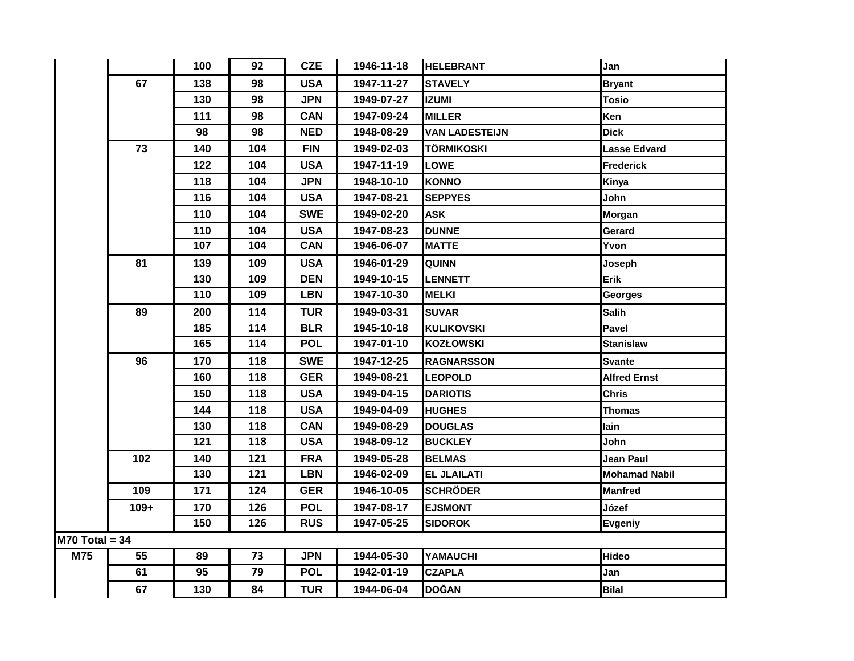|                  |        | 100 | 92  | <b>CZE</b> | 1946-11-18 | <b>HELEBRANT</b>      | Jan                  |
|------------------|--------|-----|-----|------------|------------|-----------------------|----------------------|
|                  | 67     | 138 | 98  | <b>USA</b> | 1947-11-27 | <b>STAVELY</b>        | <b>Bryant</b>        |
|                  |        | 130 | 98  | <b>JPN</b> | 1949-07-27 | <b>IZUMI</b>          | <b>Tosio</b>         |
|                  |        | 111 | 98  | <b>CAN</b> | 1947-09-24 | <b>MILLER</b>         | Ken                  |
|                  |        | 98  | 98  | <b>NED</b> | 1948-08-29 | <b>VAN LADESTEIJN</b> | <b>Dick</b>          |
|                  | 73     | 140 | 104 | <b>FIN</b> | 1949-02-03 | <b>TÖRMIKOSKI</b>     | Lasse Edvard         |
|                  |        | 122 | 104 | <b>USA</b> | 1947-11-19 | <b>LOWE</b>           | <b>Frederick</b>     |
|                  |        | 118 | 104 | <b>JPN</b> | 1948-10-10 | <b>KONNO</b>          | Kinya                |
|                  |        | 116 | 104 | <b>USA</b> | 1947-08-21 | <b>SEPPYES</b>        | John                 |
|                  |        | 110 | 104 | <b>SWE</b> | 1949-02-20 | <b>ASK</b>            | <b>Morgan</b>        |
|                  |        | 110 | 104 | <b>USA</b> | 1947-08-23 | <b>DUNNE</b>          | Gerard               |
|                  |        | 107 | 104 | <b>CAN</b> | 1946-06-07 | <b>MATTE</b>          | Yvon                 |
|                  | 81     | 139 | 109 | <b>USA</b> | 1946-01-29 | <b>QUINN</b>          | Joseph               |
|                  |        | 130 | 109 | <b>DEN</b> | 1949-10-15 | <b>LENNETT</b>        | Erik                 |
|                  |        | 110 | 109 | <b>LBN</b> | 1947-10-30 | <b>MELKI</b>          | <b>Georges</b>       |
|                  | 89     | 200 | 114 | <b>TUR</b> | 1949-03-31 | SUVAR                 | Salih                |
|                  |        | 185 | 114 | <b>BLR</b> | 1945-10-18 | <b>KULIKOVSKI</b>     | Pavel                |
|                  |        | 165 | 114 | <b>POL</b> | 1947-01-10 | <b>KOZŁOWSKI</b>      | <b>Stanislaw</b>     |
|                  | 96     | 170 | 118 | <b>SWE</b> | 1947-12-25 | <b>RAGNARSSON</b>     | <b>Svante</b>        |
|                  |        | 160 | 118 | <b>GER</b> | 1949-08-21 | <b>LEOPOLD</b>        | <b>Alfred Ernst</b>  |
|                  |        | 150 | 118 | <b>USA</b> | 1949-04-15 | <b>DARIOTIS</b>       | <b>Chris</b>         |
|                  |        | 144 | 118 | <b>USA</b> | 1949-04-09 | <b>HUGHES</b>         | Thomas               |
|                  |        | 130 | 118 | <b>CAN</b> | 1949-08-29 | <b>DOUGLAS</b>        | lain                 |
|                  |        | 121 | 118 | <b>USA</b> | 1948-09-12 | <b>BUCKLEY</b>        | John                 |
|                  | 102    | 140 | 121 | <b>FRA</b> | 1949-05-28 | <b>BELMAS</b>         | <b>Jean Paul</b>     |
|                  |        | 130 | 121 | <b>LBN</b> | 1946-02-09 | <b>EL JLAILATI</b>    | <b>Mohamad Nabil</b> |
|                  | 109    | 171 | 124 | <b>GER</b> | 1946-10-05 | <b>SCHRÖDER</b>       | Manfred              |
|                  | $109+$ | 170 | 126 | <b>POL</b> | 1947-08-17 | <b>EJSMONT</b>        | Józef                |
|                  |        | 150 | 126 | <b>RUS</b> | 1947-05-25 | <b>SIDOROK</b>        | <b>Evgeniy</b>       |
| $M70$ Total = 34 |        |     |     |            |            |                       |                      |
| M75              | 55     | 89  | 73  | <b>JPN</b> | 1944-05-30 | YAMAUCHI              | Hideo                |
|                  | 61     | 95  | 79  | <b>POL</b> | 1942-01-19 | <b>CZAPLA</b>         | Jan                  |
|                  | 67     | 130 | 84  | <b>TUR</b> | 1944-06-04 | <b>DOĞAN</b>          | <b>Bilal</b>         |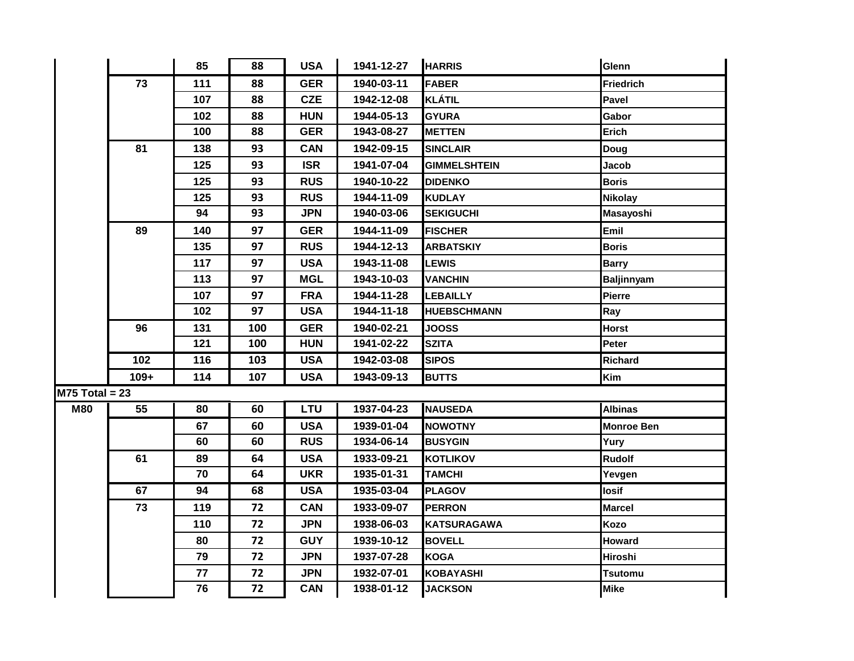|                  |        | 85  | 88  | <b>USA</b> | 1941-12-27 | <b>HARRIS</b>       | Glenn             |
|------------------|--------|-----|-----|------------|------------|---------------------|-------------------|
|                  | 73     | 111 | 88  | <b>GER</b> | 1940-03-11 | <b>FABER</b>        | Friedrich         |
|                  |        | 107 | 88  | <b>CZE</b> | 1942-12-08 | <b>KLÁTIL</b>       | <b>Pavel</b>      |
|                  |        | 102 | 88  | <b>HUN</b> | 1944-05-13 | <b>GYURA</b>        | Gabor             |
|                  |        | 100 | 88  | <b>GER</b> | 1943-08-27 | <b>METTEN</b>       | Erich             |
|                  | 81     | 138 | 93  | <b>CAN</b> | 1942-09-15 | <b>SINCLAIR</b>     | <b>Doug</b>       |
|                  |        | 125 | 93  | <b>ISR</b> | 1941-07-04 | <b>GIMMELSHTEIN</b> | Jacob             |
|                  |        | 125 | 93  | <b>RUS</b> | 1940-10-22 | <b>DIDENKO</b>      | <b>Boris</b>      |
|                  |        | 125 | 93  | <b>RUS</b> | 1944-11-09 | <b>KUDLAY</b>       | <b>Nikolay</b>    |
|                  |        | 94  | 93  | <b>JPN</b> | 1940-03-06 | <b>SEKIGUCHI</b>    | Masayoshi         |
|                  | 89     | 140 | 97  | <b>GER</b> | 1944-11-09 | <b>FISCHER</b>      | Emil              |
|                  |        | 135 | 97  | <b>RUS</b> | 1944-12-13 | <b>ARBATSKIY</b>    | <b>Boris</b>      |
|                  |        | 117 | 97  | <b>USA</b> | 1943-11-08 | <b>LEWIS</b>        | <b>Barry</b>      |
|                  |        | 113 | 97  | <b>MGL</b> | 1943-10-03 | <b>VANCHIN</b>      | <b>Baljinnyam</b> |
|                  |        | 107 | 97  | <b>FRA</b> | 1944-11-28 | <b>LEBAILLY</b>     | Pierre            |
|                  |        | 102 | 97  | <b>USA</b> | 1944-11-18 | <b>HUEBSCHMANN</b>  | Ray               |
|                  | 96     | 131 | 100 | <b>GER</b> | 1940-02-21 | <b>JOOSS</b>        | <b>Horst</b>      |
|                  |        | 121 | 100 | <b>HUN</b> | 1941-02-22 | <b>SZITA</b>        | Peter             |
|                  | 102    | 116 | 103 | <b>USA</b> | 1942-03-08 | <b>SIPOS</b>        | <b>Richard</b>    |
|                  | $109+$ | 114 | 107 | <b>USA</b> | 1943-09-13 | <b>BUTTS</b>        | Kim               |
| $M75$ Total = 23 |        |     |     |            |            |                     |                   |
| <b>M80</b>       | 55     | 80  | 60  | <b>LTU</b> | 1937-04-23 | <b>NAUSEDA</b>      | <b>Albinas</b>    |
|                  |        | 67  | 60  | <b>USA</b> | 1939-01-04 | <b>NOWOTNY</b>      | <b>Monroe Ben</b> |
|                  |        | 60  | 60  | <b>RUS</b> | 1934-06-14 | <b>BUSYGIN</b>      | Yury              |
|                  | 61     | 89  | 64  | <b>USA</b> | 1933-09-21 | <b>KOTLIKOV</b>     | <b>Rudolf</b>     |
|                  |        | 70  | 64  | <b>UKR</b> | 1935-01-31 | <b>TAMCHI</b>       | Yevgen            |
|                  | 67     | 94  | 68  | <b>USA</b> | 1935-03-04 | <b>PLAGOV</b>       | losif             |
|                  | 73     | 119 | 72  | <b>CAN</b> | 1933-09-07 | <b>PERRON</b>       | <b>Marcel</b>     |
|                  |        | 110 | 72  | <b>JPN</b> | 1938-06-03 | <b>KATSURAGAWA</b>  | Kozo              |
|                  |        | 80  | 72  | <b>GUY</b> | 1939-10-12 | <b>BOVELL</b>       | <b>Howard</b>     |
|                  |        | 79  | 72  | <b>JPN</b> | 1937-07-28 | <b>KOGA</b>         | Hiroshi           |
|                  |        | 77  | 72  | <b>JPN</b> | 1932-07-01 | <b>KOBAYASHI</b>    | <b>Tsutomu</b>    |
|                  |        | 76  | 72  | <b>CAN</b> | 1938-01-12 | <b>JACKSON</b>      | <b>Mike</b>       |